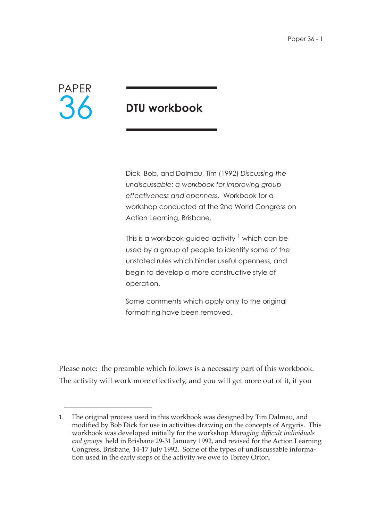

# **DTU workbook**

Dick, Bob, and Dalmau, Tim (1992) *Discussing the undiscussable: a workbook for improving group effectiveness and openness*. Workbook for a workshop conducted at the 2nd World Congress on Action Learning, Brisbane.

This is a workbook-guided activity  $1$  which can be used by a group of people to identify some of the unstated rules which hinder useful openness, and begin to develop a more constructive style of operation.

Some comments which apply only to the original formatting have been removed.

Please note: the preamble which follows is a necessary part of this workbook. The activity will work more effectively, and you will get more out of it, if you

<sup>1.</sup> The original process used in this workbook was designed by Tim Dalmau, and modified by Bob Dick for use in activities drawing on the concepts of Argyris. This workbook was developed initially for the workshop *Managing difficult individuals and groups* held in Brisbane 29-31 January 1992, and revised for the Action Learning Congress, Brisbane, 14-17 July 1992. Some of the types of undiscussable information used in the early steps of the activity we owe to Torrey Orton.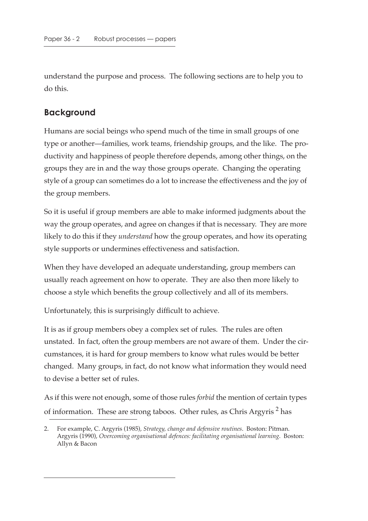understand the purpose and process. The following sections are to help you to do this.

### **Background**

Humans are social beings who spend much of the time in small groups of one type or another—families, work teams, friendship groups, and the like. The productivity and happiness of people therefore depends, among other things, on the groups they are in and the way those groups operate. Changing the operating style of a group can sometimes do a lot to increase the effectiveness and the joy of the group members.

So it is useful if group members are able to make informed judgments about the way the group operates, and agree on changes if that is necessary. They are more likely to do this if they *understand* how the group operates, and how its operating style supports or undermines effectiveness and satisfaction.

When they have developed an adequate understanding, group members can usually reach agreement on how to operate. They are also then more likely to choose a style which benefits the group collectively and all of its members.

Unfortunately, this is surprisingly difficult to achieve.

It is as if group members obey a complex set of rules. The rules are often unstated. In fact, often the group members are not aware of them. Under the circumstances, it is hard for group members to know what rules would be better changed. Many groups, in fact, do not know what information they would need to devise a better set of rules.

As if this were not enough, some of those rules *forbid* the mention of certain types of information. These are strong taboos. Other rules, as Chris Argyris<sup>2</sup> has

<sup>2.</sup> For example, C. Argyris (1985), *Strategy, change and defensive routines*. Boston: Pitman. Argyris (1990), *Overcoming organisational defences: facilitating organisational learning*. Boston: Allyn & Bacon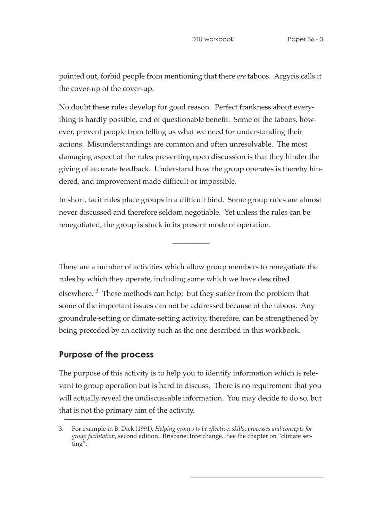pointed out, forbid people from mentioning that there *are* taboos. Argyris calls it the cover-up of the cover-up.

No doubt these rules develop for good reason. Perfect frankness about everything is hardly possible, and of questionable benefit. Some of the taboos, however, prevent people from telling us what we need for understanding their actions. Misunderstandings are common and often unresolvable. The most damaging aspect of the rules preventing open discussion is that they hinder the giving of accurate feedback. Understand how the group operates is thereby hindered, and improvement made difficult or impossible.

In short, tacit rules place groups in a difficult bind. Some group rules are almost never discussed and therefore seldom negotiable. Yet unless the rules can be renegotiated, the group is stuck in its present mode of operation.

—————

There are a number of activities which allow group members to renegotiate the rules by which they operate, including some which we have described elsewhere.<sup>3</sup> These methods can help; but they suffer from the problem that some of the important issues can not be addressed because of the taboos. Any groundrule-setting or climate-setting activity, therefore, can be strengthened by being preceded by an activity such as the one described in this workbook.

### **Purpose of the process**

The purpose of this activity is to help you to identify information which is relevant to group operation but is hard to discuss. There is no requirement that you will actually reveal the undiscussable information. You may decide to do so, but that is not the primary aim of the activity.

<sup>3.</sup> For example in B. Dick (1991), *Helping groups to be effective: skills, processes and concepts for group facilitation*, second edition. Brisbane: Interchange. See the chapter on "climate setting".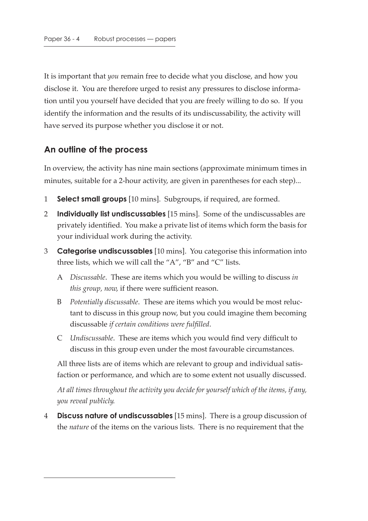It is important that *you* remain free to decide what you disclose, and how you disclose it. You are therefore urged to resist any pressures to disclose information until you yourself have decided that you are freely willing to do so. If you identify the information and the results of its undiscussability, the activity will have served its purpose whether you disclose it or not.

### **An outline of the process**

In overview, the activity has nine main sections (approximate minimum times in minutes, suitable for a 2-hour activity, are given in parentheses for each step)...

- 1 **Select small groups** [10 mins]. Subgroups, if required, are formed.
- 2 **Individually list undiscussables** [15 mins]. Some of the undiscussables are privately identified. You make a private list of items which form the basis for your individual work during the activity.
- 3 **Categorise undiscussables** [10 mins]. You categorise this information into three lists, which we will call the "A", "B" and "C" lists.
	- A *Discussable*. These are items which you would be willing to discuss *in this group, now*, if there were sufficient reason.
	- B *Potentially discussable*. These are items which you would be most reluctant to discuss in this group now, but you could imagine them becoming discussable *if certain conditions were fulfilled*.
	- C *Undiscussable*. These are items which you would find very difficult to discuss in this group even under the most favourable circumstances.

All three lists are of items which are relevant to group and individual satisfaction or performance, and which are to some extent not usually discussed.

*At all times throughout the activity you decide for yourself which of the items, if any, you reveal publicly*.

4 **Discuss nature of undiscussables** [15 mins]. There is a group discussion of the *nature* of the items on the various lists. There is no requirement that the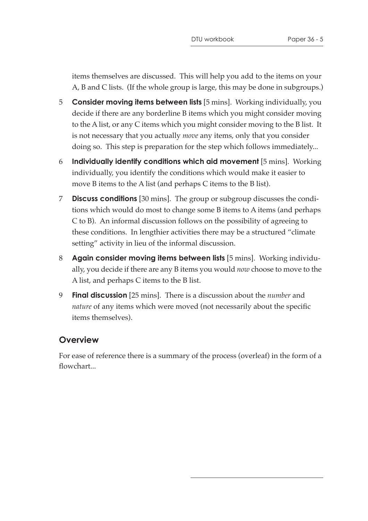items themselves are discussed. This will help you add to the items on your A, B and C lists. (If the whole group is large, this may be done in subgroups.)

- 5 **Consider moving items between lists** [5 mins]. Working individually, you decide if there are any borderline B items which you might consider moving to the A list, or any C items which you might consider moving to the B list. It is not necessary that you actually *move* any items, only that you consider doing so. This step is preparation for the step which follows immediately...
- 6 **Individually identify conditions which aid movement** [5 mins]. Working individually, you identify the conditions which would make it easier to move B items to the A list (and perhaps C items to the B list).
- 7 **Discuss conditions** [30 mins]. The group or subgroup discusses the conditions which would do most to change some B items to A items (and perhaps C to B). An informal discussion follows on the possibility of agreeing to these conditions. In lengthier activities there may be a structured "climate setting" activity in lieu of the informal discussion.
- 8 **Again consider moving items between lists** [5 mins]. Working individually, you decide if there are any B items you would *now* choose to move to the A list, and perhaps C items to the B list.
- 9 **Final discussion** [25 mins]. There is a discussion about the *number* and *nature* of any items which were moved (not necessarily about the specific items themselves).

### **Overview**

For ease of reference there is a summary of the process (overleaf) in the form of a flowchart...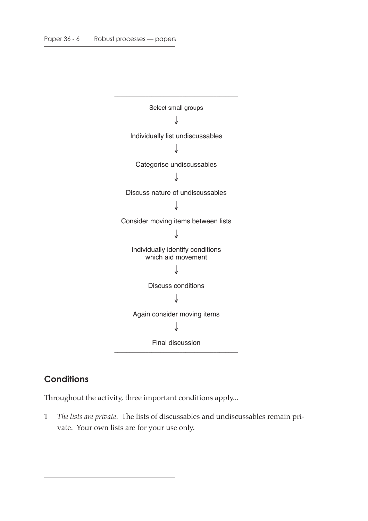

# **Conditions**

Throughout the activity, three important conditions apply...

1 *The lists are private*. The lists of discussables and undiscussables remain private. Your own lists are for your use only.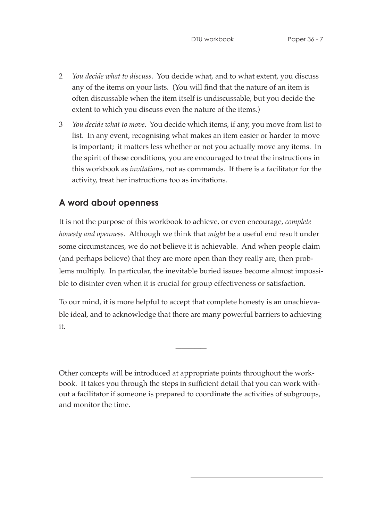- 2 *You decide what to discuss*. You decide what, and to what extent, you discuss any of the items on your lists. (You will find that the nature of an item is often discussable when the item itself is undiscussable, but you decide the extent to which you discuss even the nature of the items.)
- 3 *You decide what to move*. You decide which items, if any, you move from list to list. In any event, recognising what makes an item easier or harder to move is important; it matters less whether or not you actually move any items. In the spirit of these conditions, you are encouraged to treat the instructions in this workbook as *invitations*, not as commands. If there is a facilitator for the activity, treat her instructions too as invitations.

### **A word about openness**

It is not the purpose of this workbook to achieve, or even encourage, *complete honesty and openness*. Although we think that *might* be a useful end result under some circumstances, we do not believe it is achievable. And when people claim (and perhaps believe) that they are more open than they really are, then problems multiply. In particular, the inevitable buried issues become almost impossible to disinter even when it is crucial for group effectiveness or satisfaction.

To our mind, it is more helpful to accept that complete honesty is an unachievable ideal, and to acknowledge that there are many powerful barriers to achieving it.

—————

Other concepts will be introduced at appropriate points throughout the workbook. It takes you through the steps in sufficient detail that you can work without a facilitator if someone is prepared to coordinate the activities of subgroups, and monitor the time.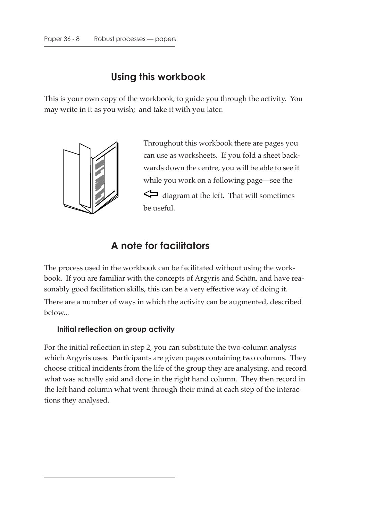# **Using this workbook**

This is your own copy of the workbook, to guide you through the activity. You may write in it as you wish; and take it with you later.



Throughout this workbook there are pages you can use as worksheets. If you fold a sheet backwards down the centre, you will be able to see it while you work on a following page—see the diagram at the left. That will sometimes be useful.

# **A note for facilitators**

The process used in the workbook can be facilitated without using the workbook. If you are familiar with the concepts of Argyris and Schön, and have reasonably good facilitation skills, this can be a very effective way of doing it. There are a number of ways in which the activity can be augmented, described below...

#### **Initial reflection on group activity**

For the initial reflection in step 2, you can substitute the two-column analysis which Argyris uses. Participants are given pages containing two columns. They choose critical incidents from the life of the group they are analysing, and record what was actually said and done in the right hand column. They then record in the left hand column what went through their mind at each step of the interactions they analysed.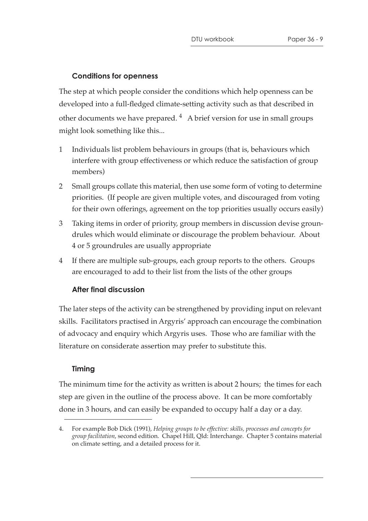### **Conditions for openness**

The step at which people consider the conditions which help openness can be developed into a full-fledged climate-setting activity such as that described in other documents we have prepared.  $4$  A brief version for use in small groups might look something like this...

- 1 Individuals list problem behaviours in groups (that is, behaviours which interfere with group effectiveness or which reduce the satisfaction of group members)
- 2 Small groups collate this material, then use some form of voting to determine priorities. (If people are given multiple votes, and discouraged from voting for their own offerings, agreement on the top priorities usually occurs easily)
- 3 Taking items in order of priority, group members in discussion devise groundrules which would eliminate or discourage the problem behaviour. About 4 or 5 groundrules are usually appropriate
- 4 If there are multiple sub-groups, each group reports to the others. Groups are encouraged to add to their list from the lists of the other groups

### **After final discussion**

The later steps of the activity can be strengthened by providing input on relevant skills. Facilitators practised in Argyris' approach can encourage the combination of advocacy and enquiry which Argyris uses. Those who are familiar with the literature on considerate assertion may prefer to substitute this.

### **Timing**

The minimum time for the activity as written is about 2 hours; the times for each step are given in the outline of the process above. It can be more comfortably done in 3 hours, and can easily be expanded to occupy half a day or a day.

<sup>4.</sup> For example Bob Dick (1991), *Helping groups to be effective: skills, processes and concepts for group facilitation*, second edition. Chapel Hill, Qld: Interchange. Chapter 5 contains material on climate setting, and a detailed process for it.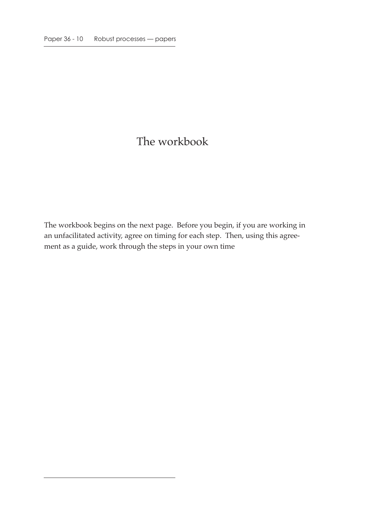# The workbook

The workbook begins on the next page. Before you begin, if you are working in an unfacilitated activity, agree on timing for each step. Then, using this agreement as a guide, work through the steps in your own time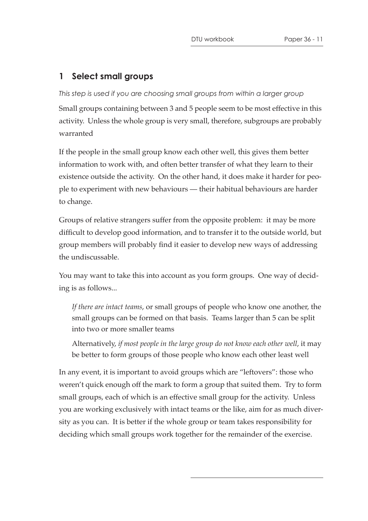# **1 Select small groups**

#### *This step is used if you are choosing small groups from within a larger group*

Small groups containing between 3 and 5 people seem to be most effective in this activity. Unless the whole group is very small, therefore, subgroups are probably warranted

If the people in the small group know each other well, this gives them better information to work with, and often better transfer of what they learn to their existence outside the activity. On the other hand, it does make it harder for people to experiment with new behaviours — their habitual behaviours are harder to change.

Groups of relative strangers suffer from the opposite problem: it may be more difficult to develop good information, and to transfer it to the outside world, but group members will probably find it easier to develop new ways of addressing the undiscussable.

You may want to take this into account as you form groups. One way of deciding is as follows...

*If there are intact teams*, or small groups of people who know one another, the small groups can be formed on that basis. Teams larger than 5 can be split into two or more smaller teams

Alternatively, *if most people in the large group do not know each other well*, it may be better to form groups of those people who know each other least well

In any event, it is important to avoid groups which are "leftovers": those who weren't quick enough off the mark to form a group that suited them. Try to form small groups, each of which is an effective small group for the activity. Unless you are working exclusively with intact teams or the like, aim for as much diversity as you can. It is better if the whole group or team takes responsibility for deciding which small groups work together for the remainder of the exercise.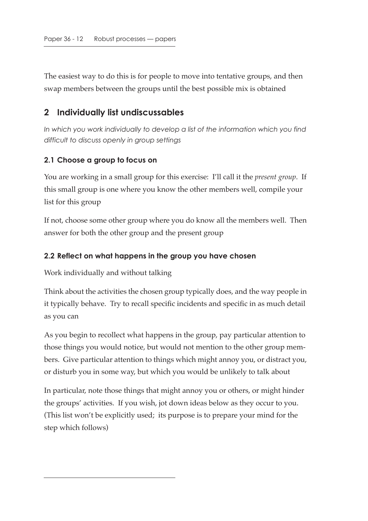The easiest way to do this is for people to move into tentative groups, and then swap members between the groups until the best possible mix is obtained

### **2 Individually list undiscussables**

*In which you work individually to develop a list of the information which you find difficult to discuss openly in group settings*

#### **2.1 Choose a group to focus on**

You are working in a small group for this exercise: I'll call it the *present group*. If this small group is one where you know the other members well, compile your list for this group

If not, choose some other group where you do know all the members well. Then answer for both the other group and the present group

#### **2.2 Reflect on what happens in the group you have chosen**

Work individually and without talking

Think about the activities the chosen group typically does, and the way people in it typically behave. Try to recall specific incidents and specific in as much detail as you can

As you begin to recollect what happens in the group, pay particular attention to those things you would notice, but would not mention to the other group members. Give particular attention to things which might annoy you, or distract you, or disturb you in some way, but which you would be unlikely to talk about

In particular, note those things that might annoy you or others, or might hinder the groups' activities. If you wish, jot down ideas below as they occur to you. (This list won't be explicitly used; its purpose is to prepare your mind for the step which follows)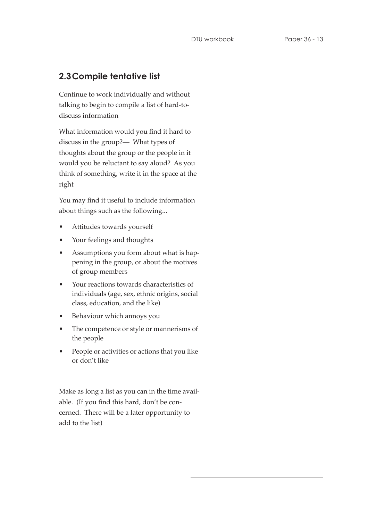# **2.3Compile tentative list**

Continue to work individually and without talking to begin to compile a list of hard-todiscuss information

What information would you find it hard to discuss in the group?— What types of thoughts about the group or the people in it would you be reluctant to say aloud? As you think of something, write it in the space at the right

You may find it useful to include information about things such as the following...

- Attitudes towards yourself
- Your feelings and thoughts
- Assumptions you form about what is happening in the group, or about the motives of group members
- Your reactions towards characteristics of individuals (age, sex, ethnic origins, social class, education, and the like)
- Behaviour which annoys you
- The competence or style or mannerisms of the people
- People or activities or actions that you like or don't like

Make as long a list as you can in the time available. (If you find this hard, don't be concerned. There will be a later opportunity to add to the list)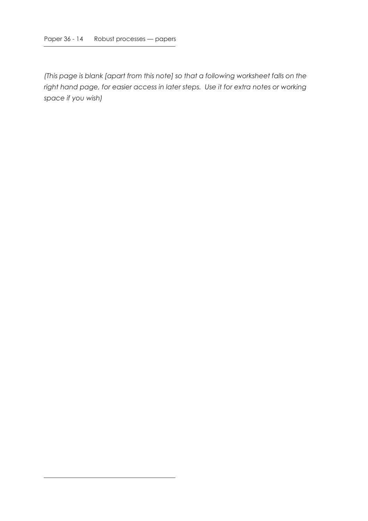*(This page is blank [apart from this note] so that a following worksheet falls on the right hand page, for easier access in later steps. Use it for extra notes or working space if you wish)*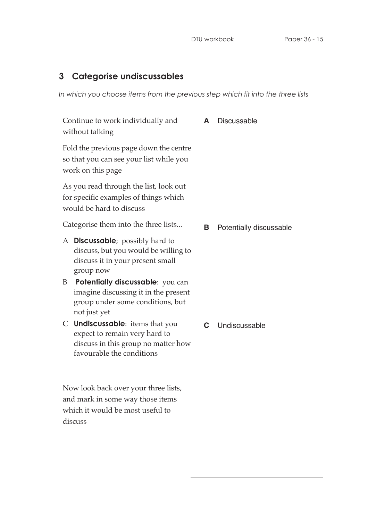# **3 Categorise undiscussables**

*In which you choose items from the previous step which fit into the three lists*

| Continue to work individually and<br>without talking                                                        |                                                                                                                                           | A | <b>Discussable</b>      |
|-------------------------------------------------------------------------------------------------------------|-------------------------------------------------------------------------------------------------------------------------------------------|---|-------------------------|
| Fold the previous page down the centre<br>so that you can see your list while you<br>work on this page      |                                                                                                                                           |   |                         |
| As you read through the list, look out<br>for specific examples of things which<br>would be hard to discuss |                                                                                                                                           |   |                         |
| Categorise them into the three lists                                                                        |                                                                                                                                           | В | Potentially discussable |
| A                                                                                                           | <b>Discussable</b> ; possibly hard to<br>discuss, but you would be willing to<br>discuss it in your present small<br>group now            |   |                         |
| B                                                                                                           | Potentially discussable: you can<br>imagine discussing it in the present<br>group under some conditions, but<br>not just yet              |   |                         |
| C                                                                                                           | <b>Undiscussable:</b> items that you<br>expect to remain very hard to<br>discuss in this group no matter how<br>favourable the conditions | C | Undiscussable           |

Now look back over your three lists, and mark in some way those items which it would be most useful to discuss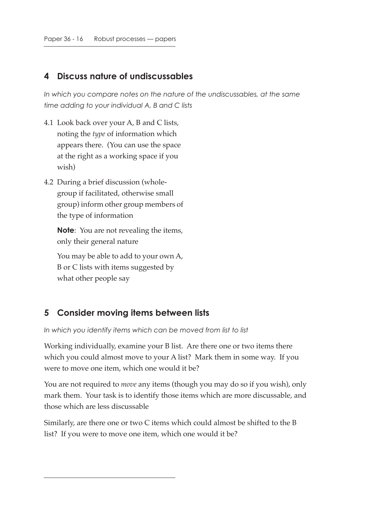### **4 Discuss nature of undiscussables**

*In which you compare notes on the nature of the undiscussables, at the same time adding to your individual A, B and C lists*

- 4.1 Look back over your A, B and C lists, noting the *type* of information which appears there. (You can use the space at the right as a working space if you wish)
- 4.2 During a brief discussion (wholegroup if facilitated, otherwise small group) inform other group members of the type of information

**Note**: You are not revealing the items, only their general nature

You may be able to add to your own A, B or C lists with items suggested by what other people say

### **5 Consider moving items between lists**

*In which you identify items which can be moved from list to list*

Working individually, examine your B list. Are there one or two items there which you could almost move to your A list? Mark them in some way. If you were to move one item, which one would it be?

You are not required to *move* any items (though you may do so if you wish), only mark them. Your task is to identify those items which are more discussable, and those which are less discussable

Similarly, are there one or two C items which could almost be shifted to the B list? If you were to move one item, which one would it be?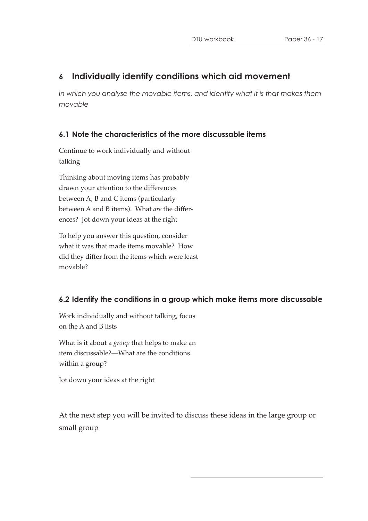### **6 Individually identify conditions which aid movement**

In which you analyse the movable items, and identify what it is that makes them *movable*

### **6.1 Note the characteristics of the more discussable items**

Continue to work individually and without talking

Thinking about moving items has probably drawn your attention to the differences between A, B and C items (particularly between A and B items). What *are* the differences? Jot down your ideas at the right

To help you answer this question, consider what it was that made items movable? How did they differ from the items which were least movable?

### **6.2 Identify the conditions in a group which make items more discussable**

Work individually and without talking, focus on the A and B lists

What is it about a *group* that helps to make an item discussable?—What are the conditions within a group?

Jot down your ideas at the right

At the next step you will be invited to discuss these ideas in the large group or small group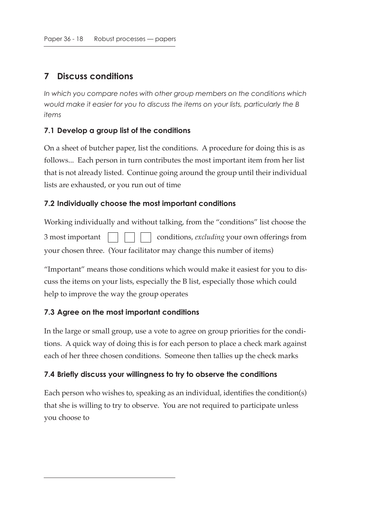# **7 Discuss conditions**

*In which you compare notes with other group members on the conditions which would make it easier for you to discuss the items on your lists, particularly the B items*

### **7.1 Develop a group list of the conditions**

On a sheet of butcher paper, list the conditions. A procedure for doing this is as follows... Each person in turn contributes the most important item from her list that is not already listed. Continue going around the group until their individual lists are exhausted, or you run out of time

### **7.2 Individually choose the most important conditions**

Working individually and without talking, from the "conditions" list choose the 3 most important  $\vert \vert \vert \vert \vert$  conditions, *excluding* your own offerings from your chosen three. (Your facilitator may change this number of items)

"Important" means those conditions which would make it easiest for you to discuss the items on your lists, especially the B list, especially those which could help to improve the way the group operates

### **7.3 Agree on the most important conditions**

In the large or small group, use a vote to agree on group priorities for the conditions. A quick way of doing this is for each person to place a check mark against each of her three chosen conditions. Someone then tallies up the check marks

#### **7.4 Briefly discuss your willingness to try to observe the conditions**

Each person who wishes to, speaking as an individual, identifies the condition(s) that she is willing to try to observe. You are not required to participate unless you choose to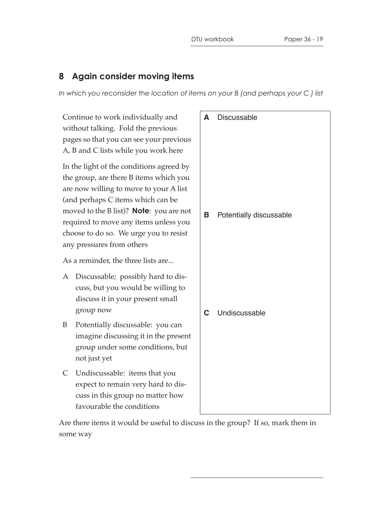# **8 Again consider moving items**

*In which you reconsider the location of items on your B (and perhaps your C ) list*

| Continue to work individually and<br>without talking. Fold the previous<br>pages so that you can see your previous<br>A, B and C lists while you work here                                                                                                                                                                           | A | <b>Discussable</b>      |
|--------------------------------------------------------------------------------------------------------------------------------------------------------------------------------------------------------------------------------------------------------------------------------------------------------------------------------------|---|-------------------------|
| In the light of the conditions agreed by<br>the group, are there B items which you<br>are now willing to move to your A list<br>(and perhaps C items which can be<br>moved to the B list)? <b>Note</b> : you are not<br>required to move any items unless you<br>choose to do so. We urge you to resist<br>any pressures from others |   | Potentially discussable |
| As a reminder, the three lists are                                                                                                                                                                                                                                                                                                   |   |                         |
| Discussable; possibly hard to dis-<br>A<br>cuss, but you would be willing to<br>discuss it in your present small<br>group now                                                                                                                                                                                                        | C | Undiscussable           |
| Potentially discussable: you can<br>B<br>imagine discussing it in the present<br>group under some conditions, but<br>not just yet                                                                                                                                                                                                    |   |                         |
| $\mathsf{C}$<br>Undiscussable: items that you<br>expect to remain very hard to dis-<br>cuss in this group no matter how<br>favourable the conditions                                                                                                                                                                                 |   |                         |

Are there items it would be useful to discuss in the group? If so, mark them in some way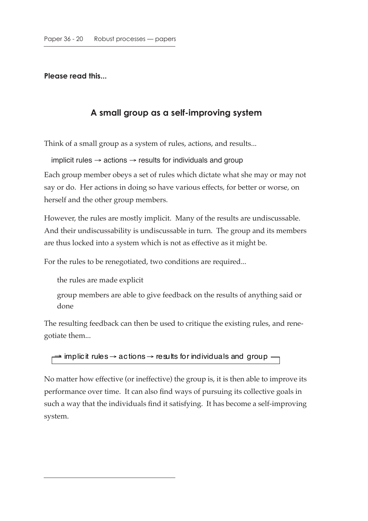**Please read this...**

### **A small group as a self-improving system**

Think of a small group as a system of rules, actions, and results...

implicit rules  $\rightarrow$  actions  $\rightarrow$  results for individuals and group

Each group member obeys a set of rules which dictate what she may or may not say or do. Her actions in doing so have various effects, for better or worse, on herself and the other group members.

However, the rules are mostly implicit. Many of the results are undiscussable. And their undiscussability is undiscussable in turn. The group and its members are thus locked into a system which is not as effective as it might be.

For the rules to be renegotiated, two conditions are required...

the rules are made explicit

group members are able to give feedback on the results of anything said or done

The resulting feedback can then be used to critique the existing rules, and renegotiate them...

```
\Rightarrow implicit rules \rightarrow actions \rightarrow results for individuals and group -
```
No matter how effective (or ineffective) the group is, it is then able to improve its performance over time. It can also find ways of pursuing its collective goals in such a way that the individuals find it satisfying. It has become a self-improving system.